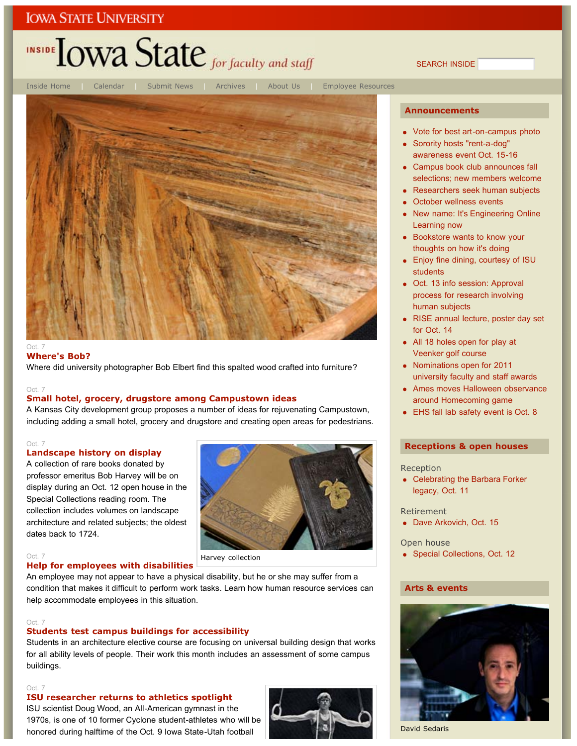# INSIDE LOWA State for faculty and staff

SEARCH INSIDE



#### **Where's Bob?**

Where did university photographer Bob Elbert find this spalted wood crafted into furniture?

#### Oct. 7

#### **Small hotel, grocery, drugstore among Campustown ideas**

A Kansas City development group proposes a number of ideas for rejuvenating Campustown, including adding a small hotel, grocery and drugstore and creating open areas for pedestrians.

#### Oct. 7

#### **Landscape history on display**

A collection of rare books donated by professor emeritus Bob Harvey will be on display during an Oct. 12 open house in the Special Collections reading room. The collection includes volumes on landscape architecture and related subjects; the oldest dates back to 1724.



#### Oct. 7 **Help for employees with disabilities**

An employee may not appear to have a physical disability, but he or she may suffer from a condition that makes it difficult to perform work tasks. Learn how human resource services can help accommodate employees in this situation.

#### Oct. 7

#### **Students test campus buildings for accessibility**

Students in an architecture elective course are focusing on universal building design that works for all ability levels of people. Their work this month includes an assessment of some campus buildings.

#### Oct. 7

#### **ISU researcher returns to athletics spotlight**

ISU scientist Doug Wood, an All-American gymnast in the 1970s, is one of 10 former Cyclone student-athletes who will be honored during halftime of the Oct. 9 Iowa State-Utah football



#### **Announcements**

- Vote for best art-on-campus photo
- Sorority hosts "rent-a-dog" awareness event Oct. 15-16
- Campus book club announces fall selections; new members welcome
- Researchers seek human subjects
- October wellness events
- New name: It's Engineering Online Learning now
- Bookstore wants to know your thoughts on how it's doing
- Enjoy fine dining, courtesy of ISU students
- Oct. 13 info session: Approval process for research involving human subjects
- RISE annual lecture, poster day set for Oct. 14
- All 18 holes open for play at Veenker golf course
- Nominations open for 2011 university faculty and staff awards
- Ames moves Halloween observance around Homecoming game
- EHS fall lab safety event is Oct. 8

#### **Receptions & open houses**

Reception

• Celebrating the Barbara Forker legacy, Oct. 11

Retirement

• Dave Arkovich, Oct. 15

Open house

• Special Collections, Oct. 12

#### **Arts & events**



David Sedaris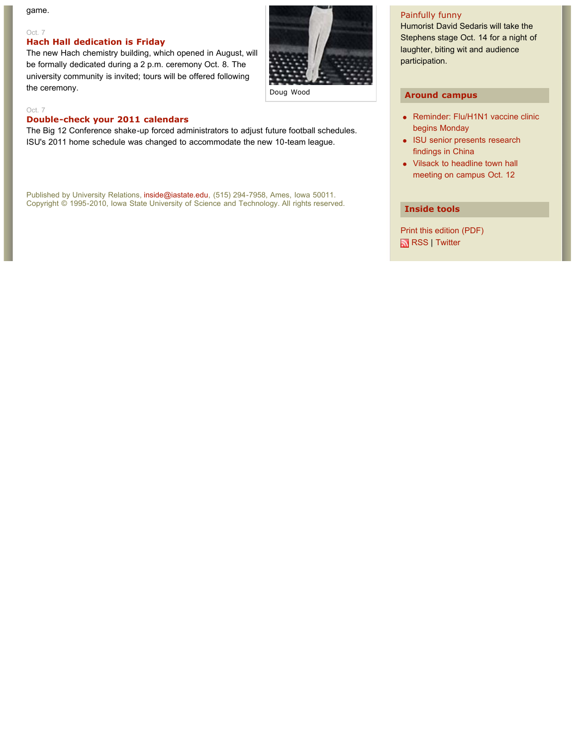game.

#### Oct. 7

#### **Hach Hall dedication is Friday**

The new Hach chemistry building, which opened in August, will be formally dedicated during a 2 p.m. ceremony Oct. 8. The university community is invited; tours will be offered following the ceremony.



Doug Wood

#### Oct. 7

#### **Double-check your 2011 calendars**

The Big 12 Conference shake-up forced administrators to adjust future football schedules. ISU's 2011 home schedule was changed to accommodate the new 10-team league.

Published by University Relations, inside@iastate.edu, (515) 294-7958, Ames, Iowa 50011. Copyright © 1995-2010, Iowa State University of Science and Technology. All rights reserved.

#### Painfully funny

Humorist David Sedaris will take the Stephens stage Oct. 14 for a night of laughter, biting wit and audience participation.

#### **Around campus**

- Reminder: Flu/H1N1 vaccine clinic begins Monday
- ISU senior presents research findings in China
- Vilsack to headline town hall meeting on campus Oct. 12

#### **Inside tools**

Print this edition (PDF) RSS | Twitter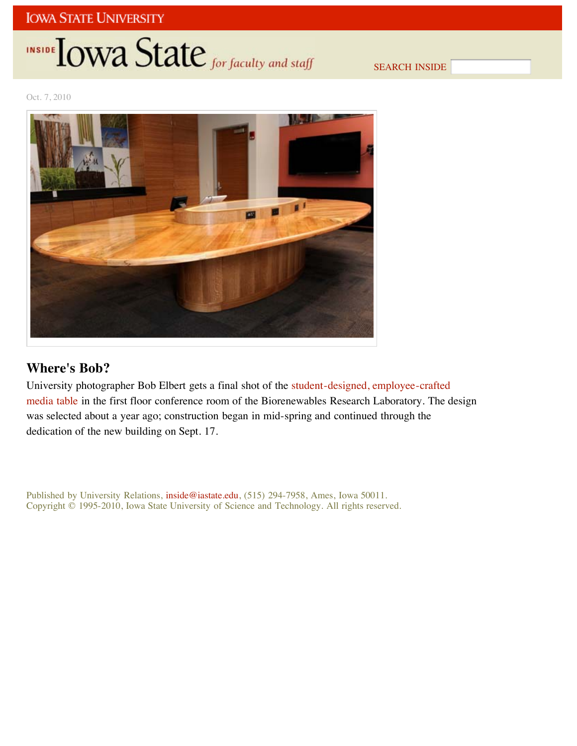# **INSIDE OWA State** for faculty and staff

SEARCH INSIDE

Oct. 7, 2010



## **Where's Bob?**

University photographer Bob Elbert gets a final shot of the student-designed, employee-crafted media table in the first floor conference room of the Biorenewables Research Laboratory. The design was selected about a year ago; construction began in mid-spring and continued through the dedication of the new building on Sept. 17.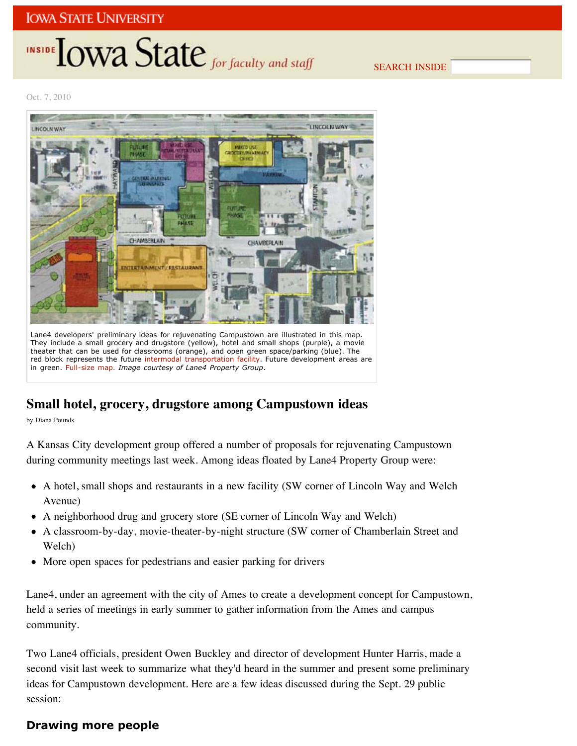# INSIDE **IOWA State** for faculty and staff

SEARCH INSIDE

Oct. 7, 2010



They include a small grocery and drugstore (yellow), hotel and small shops (purple), a movie theater that can be used for classrooms (orange), and open green space/parking (blue). The red block represents the future intermodal transportation facility. Future development areas are in green. Full-size map. *Image courtesy of Lane4 Property Group*.

## **Small hotel, grocery, drugstore among Campustown ideas**

by Diana Pounds

A Kansas City development group offered a number of proposals for rejuvenating Campustown during community meetings last week. Among ideas floated by Lane4 Property Group were:

- A hotel, small shops and restaurants in a new facility (SW corner of Lincoln Way and Welch Avenue)
- A neighborhood drug and grocery store (SE corner of Lincoln Way and Welch)
- A classroom-by-day, movie-theater-by-night structure (SW corner of Chamberlain Street and Welch)
- More open spaces for pedestrians and easier parking for drivers

Lane4, under an agreement with the city of Ames to create a development concept for Campustown, held a series of meetings in early summer to gather information from the Ames and campus community.

Two Lane4 officials, president Owen Buckley and director of development Hunter Harris, made a second visit last week to summarize what they'd heard in the summer and present some preliminary ideas for Campustown development. Here are a few ideas discussed during the Sept. 29 public session:

## **Drawing more people**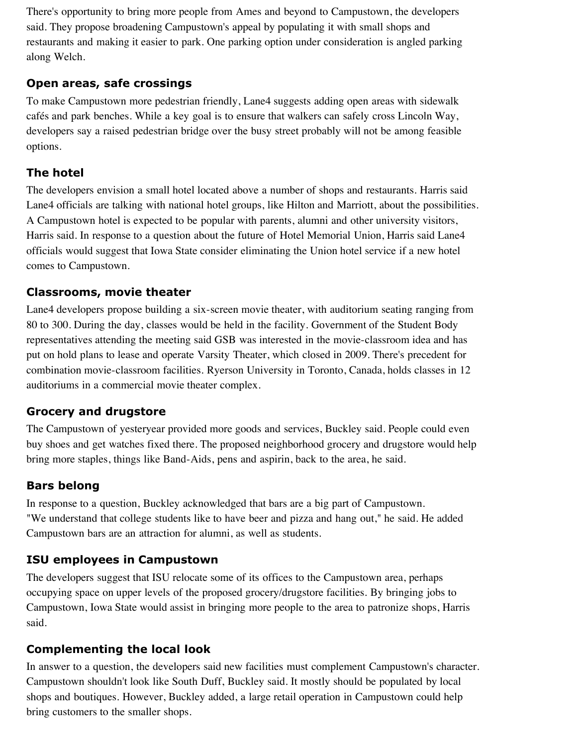There's opportunity to bring more people from Ames and beyond to Campustown, the developers said. They propose broadening Campustown's appeal by populating it with small shops and restaurants and making it easier to park. One parking option under consideration is angled parking along Welch.

### **Open areas, safe crossings**

To make Campustown more pedestrian friendly, Lane4 suggests adding open areas with sidewalk cafés and park benches. While a key goal is to ensure that walkers can safely cross Lincoln Way, developers say a raised pedestrian bridge over the busy street probably will not be among feasible options.

## **The hotel**

The developers envision a small hotel located above a number of shops and restaurants. Harris said Lane4 officials are talking with national hotel groups, like Hilton and Marriott, about the possibilities. A Campustown hotel is expected to be popular with parents, alumni and other university visitors, Harris said. In response to a question about the future of Hotel Memorial Union, Harris said Lane4 officials would suggest that Iowa State consider eliminating the Union hotel service if a new hotel comes to Campustown.

### **Classrooms, movie theater**

Lane4 developers propose building a six-screen movie theater, with auditorium seating ranging from 80 to 300. During the day, classes would be held in the facility. Government of the Student Body representatives attending the meeting said GSB was interested in the movie-classroom idea and has put on hold plans to lease and operate Varsity Theater, which closed in 2009. There's precedent for combination movie-classroom facilities. Ryerson University in Toronto, Canada, holds classes in 12 auditoriums in a commercial movie theater complex.

## **Grocery and drugstore**

The Campustown of yesteryear provided more goods and services, Buckley said. People could even buy shoes and get watches fixed there. The proposed neighborhood grocery and drugstore would help bring more staples, things like Band-Aids, pens and aspirin, back to the area, he said.

## **Bars belong**

In response to a question, Buckley acknowledged that bars are a big part of Campustown. "We understand that college students like to have beer and pizza and hang out," he said. He added Campustown bars are an attraction for alumni, as well as students.

## **ISU employees in Campustown**

The developers suggest that ISU relocate some of its offices to the Campustown area, perhaps occupying space on upper levels of the proposed grocery/drugstore facilities. By bringing jobs to Campustown, Iowa State would assist in bringing more people to the area to patronize shops, Harris said.

## **Complementing the local look**

In answer to a question, the developers said new facilities must complement Campustown's character. Campustown shouldn't look like South Duff, Buckley said. It mostly should be populated by local shops and boutiques. However, Buckley added, a large retail operation in Campustown could help bring customers to the smaller shops.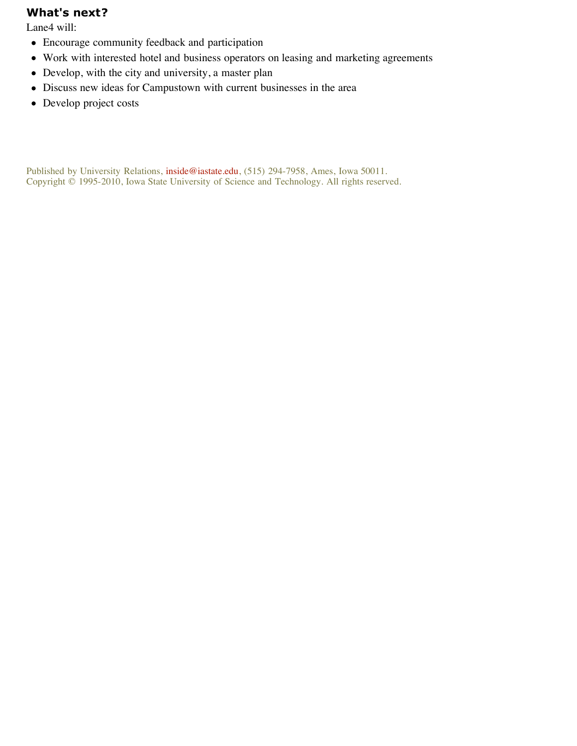#### **What's next?**

Lane4 will:

- Encourage community feedback and participation
- Work with interested hotel and business operators on leasing and marketing agreements
- Develop, with the city and university, a master plan
- Discuss new ideas for Campustown with current businesses in the area
- Develop project costs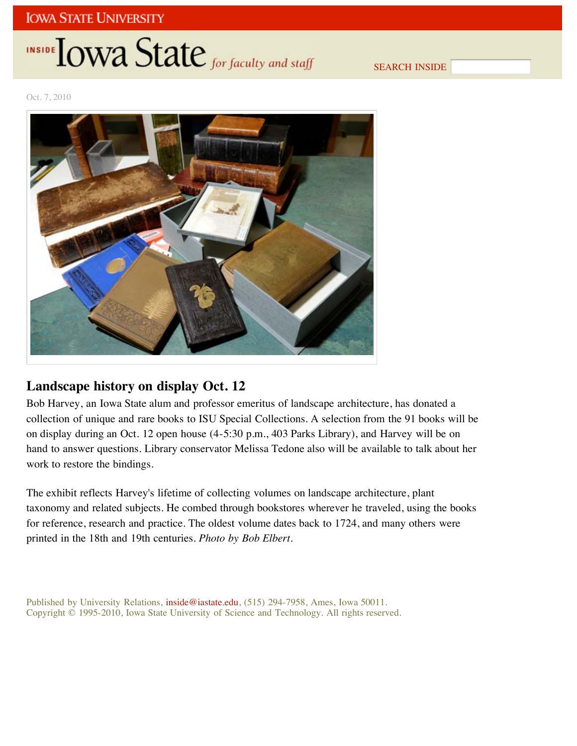# INSIDE LOWA State for faculty and staff

SEARCH INSIDE

Oct. 7, 2010



## **Landscape history on display Oct. 12**

Bob Harvey, an Iowa State alum and professor emeritus of landscape architecture, has donated a collection of unique and rare books to ISU Special Collections. A selection from the 91 books will be on display during an Oct. 12 open house (4-5:30 p.m., 403 Parks Library), and Harvey will be on hand to answer questions. Library conservator Melissa Tedone also will be available to talk about her work to restore the bindings.

The exhibit reflects Harvey's lifetime of collecting volumes on landscape architecture, plant taxonomy and related subjects. He combed through bookstores wherever he traveled, using the books for reference, research and practice. The oldest volume dates back to 1724, and many others were printed in the 18th and 19th centuries. *Photo by Bob Elbert*.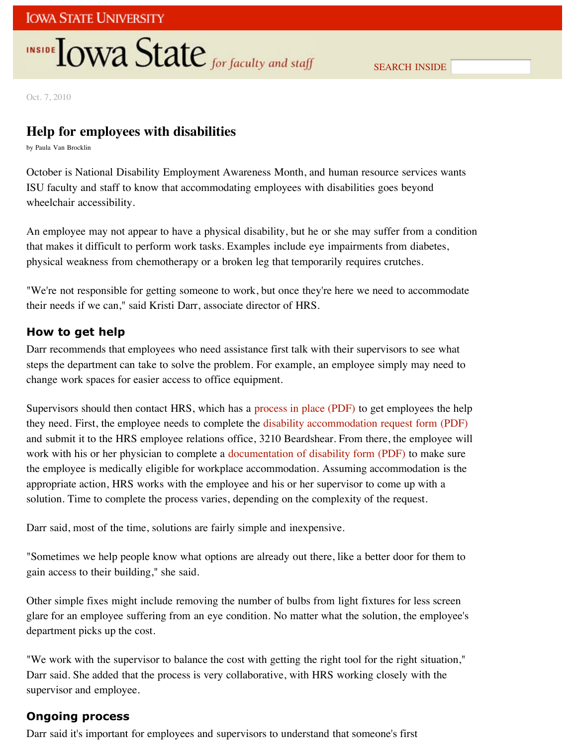# **INSIDE TOWA State** for faculty and staff

Oct. 7, 2010

## **Help for employees with disabilities**

by Paula Van Brocklin

October is National Disability Employment Awareness Month, and human resource services wants ISU faculty and staff to know that accommodating employees with disabilities goes beyond wheelchair accessibility.

An employee may not appear to have a physical disability, but he or she may suffer from a condition that makes it difficult to perform work tasks. Examples include eye impairments from diabetes, physical weakness from chemotherapy or a broken leg that temporarily requires crutches.

"We're not responsible for getting someone to work, but once they're here we need to accommodate their needs if we can," said Kristi Darr, associate director of HRS.

### **How to get help**

Darr recommends that employees who need assistance first talk with their supervisors to see what steps the department can take to solve the problem. For example, an employee simply may need to change work spaces for easier access to office equipment.

Supervisors should then contact HRS, which has a process in place (PDF) to get employees the help they need. First, the employee needs to complete the disability accommodation request form (PDF) and submit it to the HRS employee relations office, 3210 Beardshear. From there, the employee will work with his or her physician to complete a documentation of disability form (PDF) to make sure the employee is medically eligible for workplace accommodation. Assuming accommodation is the appropriate action, HRS works with the employee and his or her supervisor to come up with a solution. Time to complete the process varies, depending on the complexity of the request.

Darr said, most of the time, solutions are fairly simple and inexpensive.

"Sometimes we help people know what options are already out there, like a better door for them to gain access to their building," she said.

Other simple fixes might include removing the number of bulbs from light fixtures for less screen glare for an employee suffering from an eye condition. No matter what the solution, the employee's department picks up the cost.

"We work with the supervisor to balance the cost with getting the right tool for the right situation," Darr said. She added that the process is very collaborative, with HRS working closely with the supervisor and employee.

### **Ongoing process**

Darr said it's important for employees and supervisors to understand that someone's first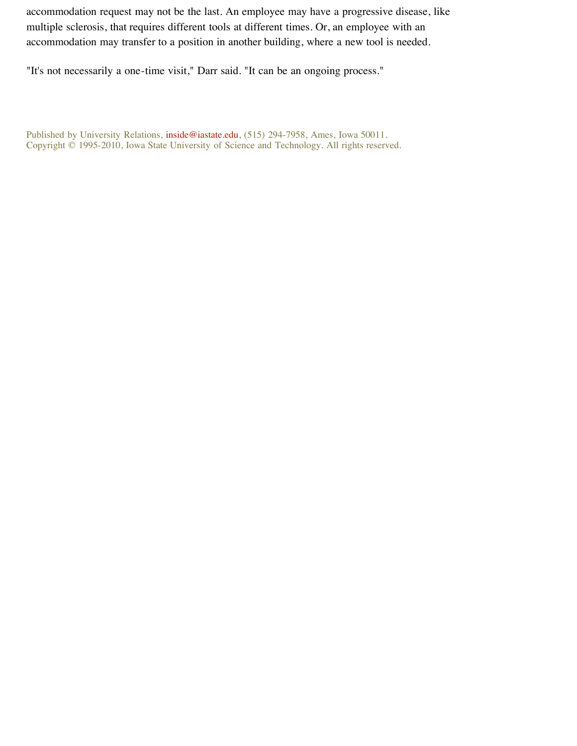accommodation request may not be the last. An employee may have a progressive disease, like multiple sclerosis, that requires different tools at different times. Or, an employee with an accommodation may transfer to a position in another building, where a new tool is needed.

"It's not necessarily a one-time visit," Darr said. "It can be an ongoing process."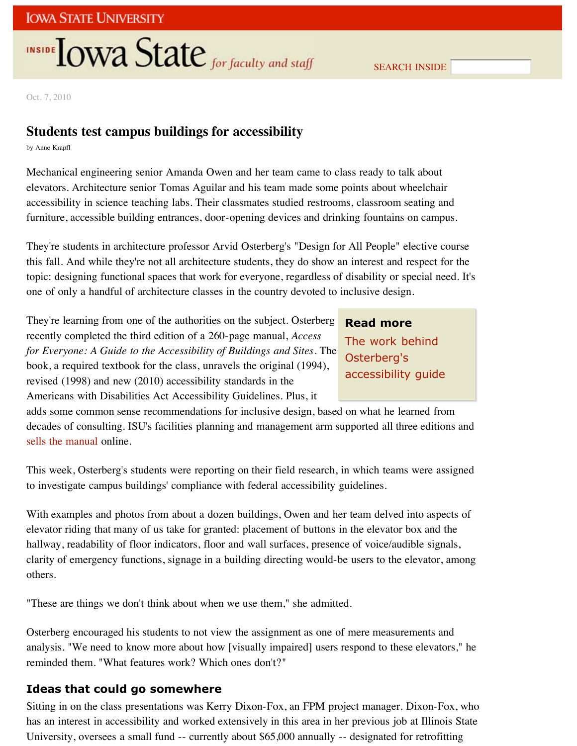# **INSIDE OWA State** for faculty and staff

SEARCH INSIDE

Oct. 7, 2010

## **Students test campus buildings for accessibility**

by Anne Krapfl

Mechanical engineering senior Amanda Owen and her team came to class ready to talk about elevators. Architecture senior Tomas Aguilar and his team made some points about wheelchair accessibility in science teaching labs. Their classmates studied restrooms, classroom seating and furniture, accessible building entrances, door-opening devices and drinking fountains on campus.

They're students in architecture professor Arvid Osterberg's "Design for All People" elective course this fall. And while they're not all architecture students, they do show an interest and respect for the topic: designing functional spaces that work for everyone, regardless of disability or special need. It's one of only a handful of architecture classes in the country devoted to inclusive design.

They're learning from one of the authorities on the subject. Osterberg recently completed the third edition of a 260-page manual, *Access for Everyone: A Guide to the Accessibility of Buildings and Sites*. The book, a required textbook for the class, unravels the original (1994), revised (1998) and new (2010) accessibility standards in the Americans with Disabilities Act Accessibility Guidelines. Plus, it

**Read more** The work behind Osterberg's accessibility guide

adds some common sense recommendations for inclusive design, based on what he learned from decades of consulting. ISU's facilities planning and management arm supported all three editions and sells the manual online.

This week, Osterberg's students were reporting on their field research, in which teams were assigned to investigate campus buildings' compliance with federal accessibility guidelines.

With examples and photos from about a dozen buildings, Owen and her team delved into aspects of elevator riding that many of us take for granted: placement of buttons in the elevator box and the hallway, readability of floor indicators, floor and wall surfaces, presence of voice/audible signals, clarity of emergency functions, signage in a building directing would-be users to the elevator, among others.

"These are things we don't think about when we use them," she admitted.

Osterberg encouraged his students to not view the assignment as one of mere measurements and analysis. "We need to know more about how [visually impaired] users respond to these elevators," he reminded them. "What features work? Which ones don't?"

### **Ideas that could go somewhere**

Sitting in on the class presentations was Kerry Dixon-Fox, an FPM project manager. Dixon-Fox, who has an interest in accessibility and worked extensively in this area in her previous job at Illinois State University, oversees a small fund -- currently about \$65,000 annually -- designated for retrofitting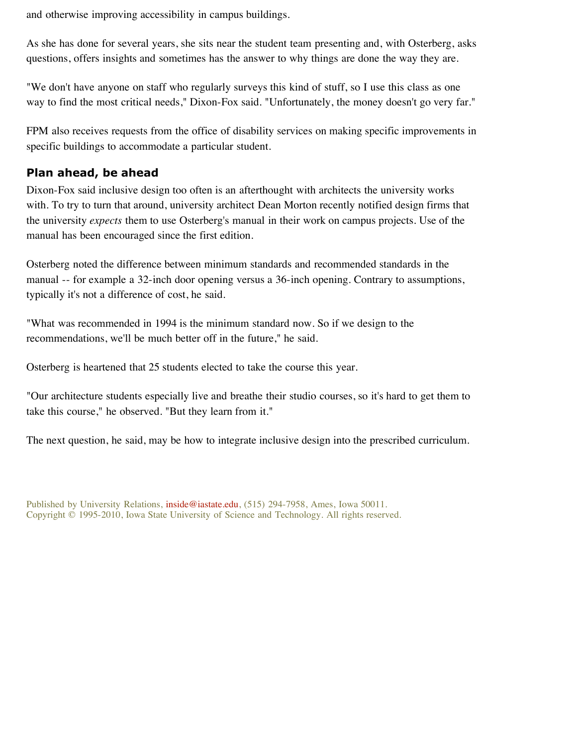and otherwise improving accessibility in campus buildings.

As she has done for several years, she sits near the student team presenting and, with Osterberg, asks questions, offers insights and sometimes has the answer to why things are done the way they are.

"We don't have anyone on staff who regularly surveys this kind of stuff, so I use this class as one way to find the most critical needs," Dixon-Fox said. "Unfortunately, the money doesn't go very far."

FPM also receives requests from the office of disability services on making specific improvements in specific buildings to accommodate a particular student.

### **Plan ahead, be ahead**

Dixon-Fox said inclusive design too often is an afterthought with architects the university works with. To try to turn that around, university architect Dean Morton recently notified design firms that the university *expects* them to use Osterberg's manual in their work on campus projects. Use of the manual has been encouraged since the first edition.

Osterberg noted the difference between minimum standards and recommended standards in the manual -- for example a 32-inch door opening versus a 36-inch opening. Contrary to assumptions, typically it's not a difference of cost, he said.

"What was recommended in 1994 is the minimum standard now. So if we design to the recommendations, we'll be much better off in the future," he said.

Osterberg is heartened that 25 students elected to take the course this year.

"Our architecture students especially live and breathe their studio courses, so it's hard to get them to take this course," he observed. "But they learn from it."

The next question, he said, may be how to integrate inclusive design into the prescribed curriculum.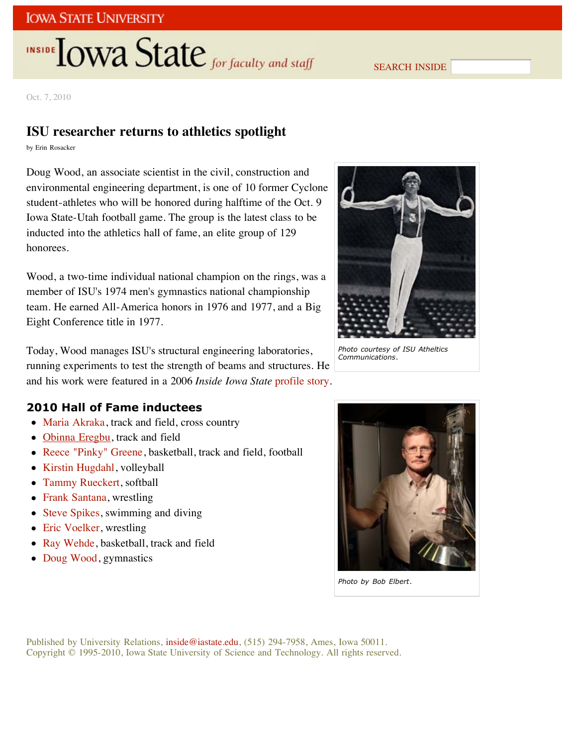# **INSIDE OWA State** for faculty and staff

SEARCH INSIDE

Oct. 7, 2010

## **ISU researcher returns to athletics spotlight**

by Erin Rosacker

Doug Wood, an associate scientist in the civil, construction and environmental engineering department, is one of 10 former Cyclone student-athletes who will be honored during halftime of the Oct. 9 Iowa State-Utah football game. The group is the latest class to be inducted into the athletics hall of fame, an elite group of 129 honorees.

Wood, a two-time individual national champion on the rings, was a member of ISU's 1974 men's gymnastics national championship team. He earned All-America honors in 1976 and 1977, and a Big Eight Conference title in 1977.

Today, Wood manages ISU's structural engineering laboratories, running experiments to test the strength of beams and structures. He and his work were featured in a 2006 *Inside Iowa State* profile story.

## **2010 Hall of Fame inductees**

- Maria Akraka, track and field, cross country
- Obinna Eregbu, track and field
- Reece "Pinky" Greene, basketball, track and field, football
- Kirstin Hugdahl, volleyball
- Tammy Rueckert, softball
- Frank Santana, wrestling
- Steve Spikes, swimming and diving
- Eric Voelker, wrestling
- Ray Wehde, basketball, track and field
- Doug Wood, gymnastics



*Photo courtesy of ISU Atheltics Communications*.



*Photo by Bob Elbert*.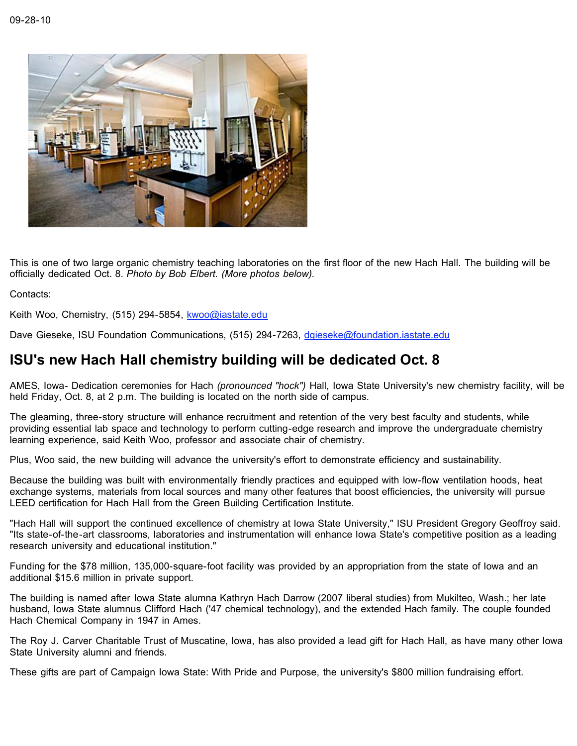

This is one of two large organic chemistry teaching laboratories on the first floor of the new Hach Hall. The building will be officially dedicated Oct. 8. *Photo by Bob Elbert. (More photos below).*

Contacts:

Keith Woo, Chemistry, (515) 294-5854, kwoo@iastate.edu

Dave Gieseke, ISU Foundation Communications, (515) 294-7263, dgieseke@foundation.iastate.edu

## **ISU's new Hach Hall chemistry building will be dedicated Oct. 8**

AMES, Iowa- Dedication ceremonies for Hach *(pronounced "hock")* Hall, Iowa State University's new chemistry facility, will be held Friday, Oct. 8, at 2 p.m. The building is located on the north side of campus.

The gleaming, three-story structure will enhance recruitment and retention of the very best faculty and students, while providing essential lab space and technology to perform cutting-edge research and improve the undergraduate chemistry learning experience, said Keith Woo, professor and associate chair of chemistry.

Plus, Woo said, the new building will advance the university's effort to demonstrate efficiency and sustainability.

Because the building was built with environmentally friendly practices and equipped with low-flow ventilation hoods, heat exchange systems, materials from local sources and many other features that boost efficiencies, the university will pursue LEED certification for Hach Hall from the Green Building Certification Institute.

"Hach Hall will support the continued excellence of chemistry at Iowa State University," ISU President Gregory Geoffroy said. "Its state-of-the-art classrooms, laboratories and instrumentation will enhance Iowa State's competitive position as a leading research university and educational institution."

Funding for the \$78 million, 135,000-square-foot facility was provided by an appropriation from the state of Iowa and an additional \$15.6 million in private support.

The building is named after Iowa State alumna Kathryn Hach Darrow (2007 liberal studies) from Mukilteo, Wash.; her late husband, Iowa State alumnus Clifford Hach ('47 chemical technology), and the extended Hach family. The couple founded Hach Chemical Company in 1947 in Ames.

The Roy J. Carver Charitable Trust of Muscatine, Iowa, has also provided a lead gift for Hach Hall, as have many other Iowa State University alumni and friends.

These gifts are part of Campaign Iowa State: With Pride and Purpose, the university's \$800 million fundraising effort.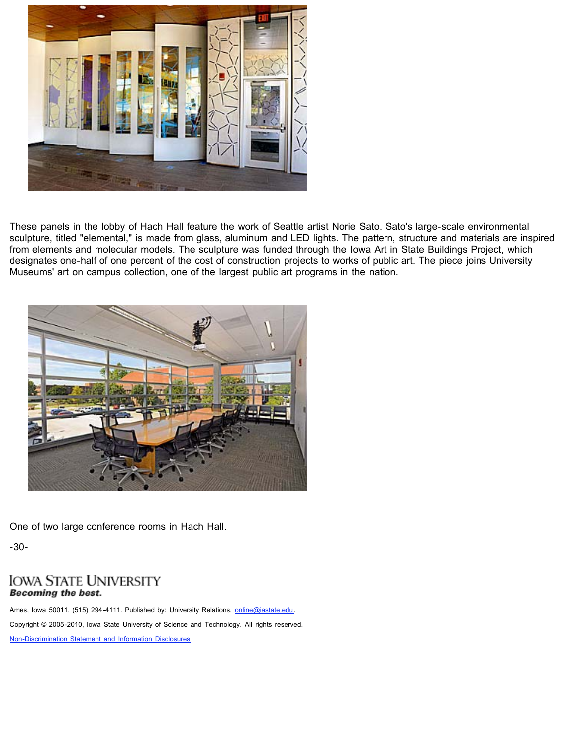

These panels in the lobby of Hach Hall feature the work of Seattle artist Norie Sato. Sato's large-scale environmental sculpture, titled "elemental," is made from glass, aluminum and LED lights. The pattern, structure and materials are inspired from elements and molecular models. The sculpture was funded through the Iowa Art in State Buildings Project, which designates one-half of one percent of the cost of construction projects to works of public art. The piece joins University Museums' art on campus collection, one of the largest public art programs in the nation.



One of two large conference rooms in Hach Hall.

-30-

### **IOWA STATE UNIVERSITY Becoming the best.**

Ames, Iowa 50011, (515) 294-4111. Published by: University Relations, online@iastate.edu. Copyright © 2005-2010, Iowa State University of Science and Technology. All rights reserved.

Non-Discrimination Statement and Information Disclosures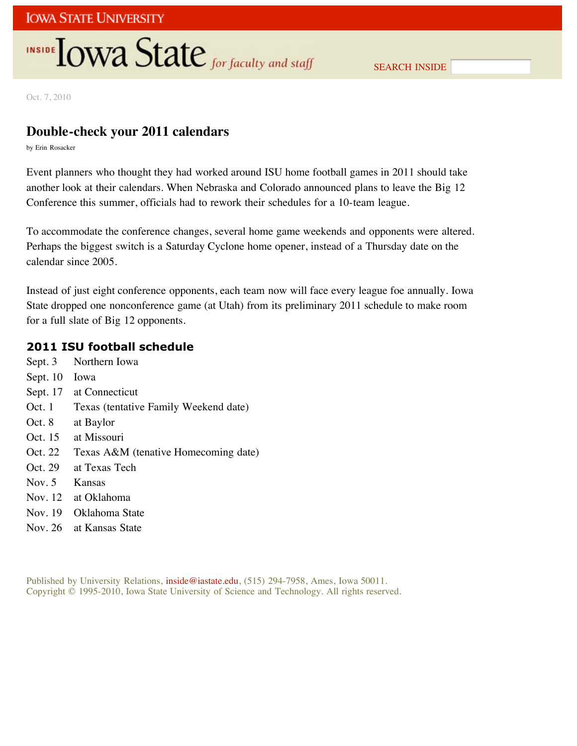# INSIDE **IOWA State** for faculty and staff

Oct. 7, 2010

## **Double-check your 2011 calendars**

by Erin Rosacker

Event planners who thought they had worked around ISU home football games in 2011 should take another look at their calendars. When Nebraska and Colorado announced plans to leave the Big 12 Conference this summer, officials had to rework their schedules for a 10-team league.

To accommodate the conference changes, several home game weekends and opponents were altered. Perhaps the biggest switch is a Saturday Cyclone home opener, instead of a Thursday date on the calendar since 2005.

Instead of just eight conference opponents, each team now will face every league foe annually. Iowa State dropped one nonconference game (at Utah) from its preliminary 2011 schedule to make room for a full slate of Big 12 opponents.

### **2011 ISU football schedule**

Sept. 3 Northern Iowa Sept. 10 Iowa Sept. 17 at Connecticut Oct. 1 Texas (tentative Family Weekend date) Oct. 8 at Baylor Oct. 15 at Missouri Oct. 22 Texas A&M (tenative Homecoming date) Oct. 29 at Texas Tech Nov. 5 Kansas Nov. 12 at Oklahoma Nov. 19 Oklahoma State Nov. 26 at Kansas State